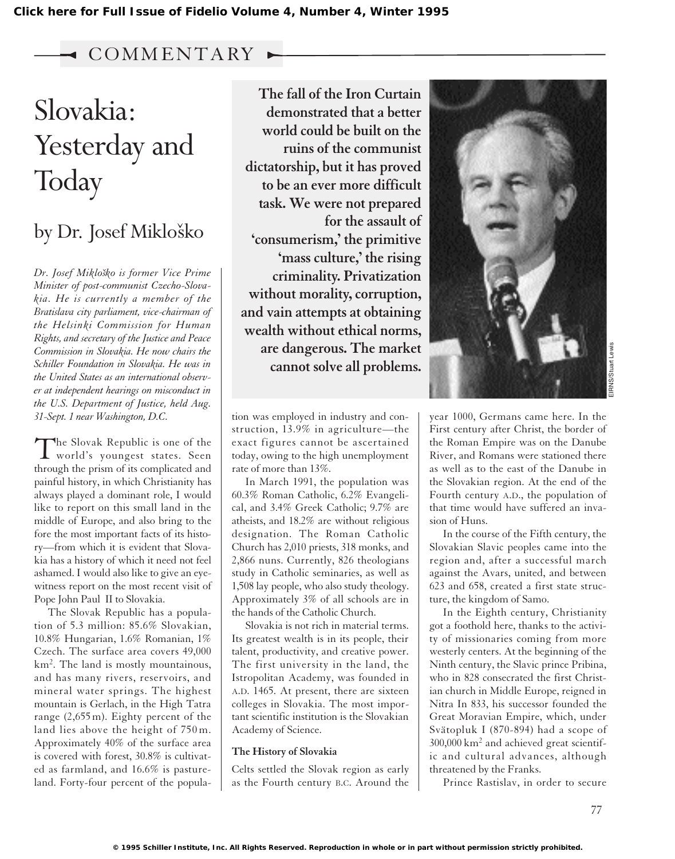### COMM ENTARY

# Slovakia: Yesterday and **Today**

## by Dr. Josef Mikloško

*Dr. Josef Miklosˇko is former Vice Prime Minister of post-communist Czecho-Slovakia. He is currently a member of the Bratislava city parliament, vice-chairman of the Helsinki Commission for Human Rights, and secretary of the Justice and Peace Commission in Slovakia. He now chairs the Schiller Foundation in Slovakia. He was in the United States as an international observer at independent hearings on misconduct in the U.S. Department of Justice, held Aug. 31-Sept. 1 near Washington, D.C.*

The Slovak Republic is one of the world's youngest states. Seen through the prism of its complicated and painful history, in which Christianity has always played a dominant role, I would like to report on this small land in the middle of Europe, and also bring to the fore the most important facts of its history—from which it is evident that Slovakia has a history of which it need not feel ashamed. I would also like to give an eyewitness report on the most recent visit of Pope John Paul II to Slovakia.

The Slovak Republic has a population of 5.3 million: 85.6% Slovakian, 10.8% Hungarian, 1.6% Romanian, 1% Czech. The surface area covers 49,000 km<sup>2</sup> . The land is mostly mountainous, and has many rivers, reservoirs, and mineral water springs. The highest mountain is Gerlach, in the High Tatra range (2,655 m). Eighty percent of the land lies above the height of 750 m. Approximately 40% of the surface area is covered with forest, 30.8% is cultivated as farmland, and 16.6% is pastureland. Forty-four percent of the popula-

**The fall of the Iron Curtain demonstrated that a better world could be built on the ruins of the communist dictatorship, but it has proved to be an ever more difficult task. We were not prepared for the assault of 'consumerism,' the primitive 'mass culture,' the rising criminality. Privatization without morality, corruption, and vain attempts at obtaining wealth without ethical norms, are dangerous. The market cannot solve all problems.**

tion was employed in industry and construction, 13.9% in agriculture—the exact figures cannot be ascertained today, owing to the high unemployment rate of more than 13%.

In March 1991, the population was 60.3% Roman Catholic, 6.2% Evangelical, and 3.4% Greek Catholic; 9.7% are atheists, and 18.2% are without religious designation. The Roman Catholic Church has 2,010 priests, 318 monks, and 2,866 nuns. Currently, 826 theologians study in Catholic seminaries, as well as 1,508 lay people, who also study theology. Approximately 3% of all schools are in the hands of the Catholic Church.

Slovakia is not rich in material terms. Its greatest wealth is in its people, their talent, productivity, and creative power. The first university in the land, the Istropolitan Academy, was founded in A.D. 1465. At present, there are sixteen colleges in Slovakia. The most important scientific institution is the Slovakian Academy of Science.

#### **The History of Slovakia**

Celts settled the Slovak region as early as the Fourth century B.C. Around the



First century after Christ, the border of the Roman Empire was on the Danube River, and Romans were stationed there as well as to the east of the Danube in the Slovakian region. At the end of the Fourth century A.D., the population of that time would have suffered an invasion of Huns.

In the course of the Fifth century, the Slovakian Slavic peoples came into the region and, after a successful march against the Avars, united, and between 623 and 658, created a first state structure, the kingdom of Samo.

In the Eighth century, Christianity got a foothold here, thanks to the activity of missionaries coming from more westerly centers. At the beginning of the Ninth century, the Slavic prince Pribina, who in 828 consecrated the first Christian church in Middle Europe, reigned in Nitra In 833, his successor founded the Great Moravian Empire, which, under Svätopluk I (870-894) had a scope of  $300,000$  km<sup>2</sup> and achieved great scientific and cultural advances, although threatened by the Franks.

Prince Rastislav, in order to secure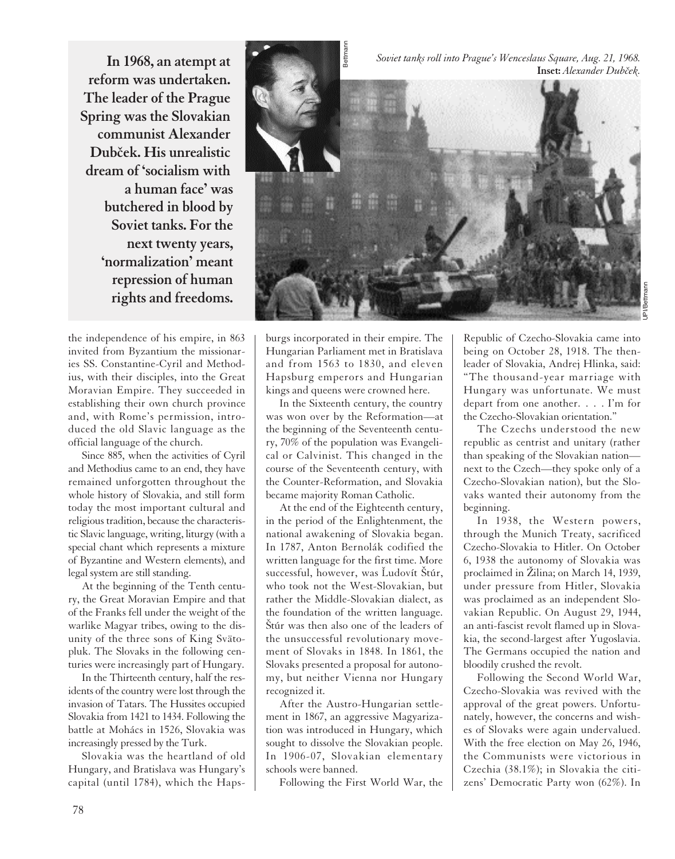**In 1968, an atempt at reform was undertaken. The leader of the Prague Spring was the Slovakian communist Alexander** Dubček. His unrealistic **dream of 'socialism with a human face' was butchered in blood by Soviet tanks. For the next twenty years, 'normalization' meant repression of human rights and freedoms.**

the independence of his empire, in 863 invited from Byzantium the missionaries SS. Constantine-Cyril and Methodius, with their disciples, into the Great Moravian Empire. They succeeded in establishing their own church province and, with Rome's permission, introduced the old Slavic language as the official language of the church.

Since 885, when the activities of Cyril and Methodius came to an end, they have remained unforgotten throughout the whole history of Slovakia, and still form today the most important cultural and religious tradition, because the characteristic Slavic language, writing, liturgy (with a special chant which represents a mixture of Byzantine and Western elements), and legal system are still standing.

At the beginning of the Tenth century, the Great Moravian Empire and that of the Franks fell under the weight of the warlike Magyar tribes, owing to the disunity of the three sons of King Svätopluk. The Slovaks in the following centuries were increasingly part of Hungary.

In the Thirteenth century, half the residents of the country were lost through the invasion of Tatars. The Hussites occupied Slovakia from 1421 to 1434. Following the battle at Mohács in 1526, Slovakia was increasingly pressed by the Turk.

Slovakia was the heartland of old Hungary, and Bratislava was Hungary's capital (until 1784), which the Haps-



burgs incorporated in their empire. The Hungarian Parliament met in Bratislava and from 1563 to 1830, and eleven Hapsburg emperors and Hungarian kings and queens were crowned here.

In the Sixteenth century, the country was won over by the Reformation—at the beginning of the Seventeenth century, 70% of the population was Evangelical or Calvinist. This changed in the course of the Seventeenth century, with the Counter-Reformation, and Slovakia became majority Roman Catholic.

At the end of the Eighteenth century, in the period of the Enlightenment, the national awakening of Slovakia began. In 1787, Anton Bernolák codified the written language for the first time. More successful, however, was Ludovít Štúr, who took not the West-Slovakian, but rather the Middle-Slovakian dialect, as the foundation of the written language. Štúr was then also one of the leaders of the unsuccessful revolutionary movement of Slovaks in 1848. In 1861, the Slovaks presented a proposal for autonomy, but neither Vienna nor Hungary recognized it.

After the Austro-Hungarian settlement in 1867, an aggressive Magyarization was introduced in Hungary, which sought to dissolve the Slovakian people. In 1906-07, Slovakian elementary schools were banned.

Following the First World War, the

Republic of Czecho-Slovakia came into being on October 28, 1918. The thenleader of Slovakia, Andrej Hlinka, said: "The thousand-year marriage with Hungary was unfortunate. We must depart from one another. . . . I'm for the Czecho-Slovakian orientation."

The Czechs understood the new republic as centrist and unitary (rather than speaking of the Slovakian nation next to the Czech—they spoke only of a Czecho-Slovakian nation), but the Slovaks wanted their autonomy from the beginning.

In 1938, the Western powers, through the Munich Treaty, sacrificed Czecho-Slovakia to Hitler. On October 6, 1938 the autonomy of Slovakia was proclaimed in Žilina; on March 14, 1939, under pressure from Hitler, Slovakia was proclaimed as an independent Slovakian Republic. On August 29, 1944, an anti-fascist revolt flamed up in Slovakia, the second-largest after Yugoslavia. The Germans occupied the nation and bloodily crushed the revolt.

Following the Second World War, Czecho-Slovakia was revived with the approval of the great powers. Unfortunately, however, the concerns and wishes of Slovaks were again undervalued. With the free election on May 26, 1946, the Communists were victorious in Czechia (38.1%); in Slovakia the citizens' Democratic Party won (62%). In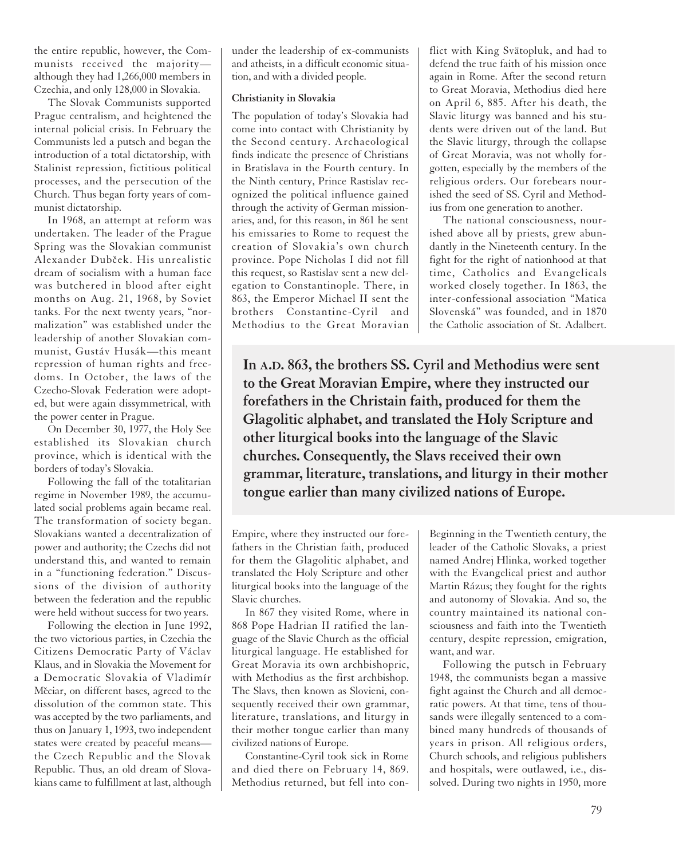the entire republic, however, the Communists received the majority although they had 1,266,000 members in Czechia, and only 128,000 in Slovakia.

The Slovak Communists supported Prague centralism, and heightened the internal policial crisis. In February the Communists led a putsch and began the introduction of a total dictatorship, with Stalinist repression, fictitious political processes, and the persecution of the Church. Thus began forty years of communist dictatorship.

In 1968, an attempt at reform was undertaken. The leader of the Prague Spring was the Slovakian communist Alexander Dubček. His unrealistic dream of socialism with a human face was butchered in blood after eight months on Aug. 21, 1968, by Soviet tanks. For the next twenty years, "normalization" was established under the leadership of another Slovakian communist, Gustáv Husák—this meant repression of human rights and freedoms. In October, the laws of the Czecho-Slovak Federation were adopted, but were again dissymmetrical, with the power center in Prague.

On December 30, 1977, the Holy See established its Slovakian church province, which is identical with the borders of today's Slovakia.

Following the fall of the totalitarian regime in November 1989, the accumulated social problems again became real. The transformation of society began. Slovakians wanted a decentralization of power and authority; the Czechs did not understand this, and wanted to remain in a "functioning federation." Discussions of the division of authority between the federation and the republic were held without success for two years.

Following the election in June 1992, the two victorious parties, in Czechia the Citizens Democratic Party of Václav Klaus, and in Slovakia the Movement for a Democratic Slovakia of Vladimír Měciar, on different bases, agreed to the dissolution of the common state. This was accepted by the two parliaments, and thus on January 1, 1993, two independent states were created by peaceful means the Czech Republic and the Slovak Republic. Thus, an old dream of Slovakians came to fulfillment at last, although under the leadership of ex-communists and atheists, in a difficult economic situation, and with a divided people.

#### **Christianity in Slovakia**

The population of today's Slovakia had come into contact with Christianity by the Second century. Archaeological finds indicate the presence of Christians in Bratislava in the Fourth century. In the Ninth century, Prince Rastislav recognized the political influence gained through the activity of German missionaries, and, for this reason, in 861 he sent his emissaries to Rome to request the creation of Slovakia's own church province. Pope Nicholas I did not fill this request, so Rastislav sent a new delegation to Constantinople. There, in 863, the Emperor Michael II sent the brothers Constantine-Cyril and Methodius to the Great Moravian

flict with King Svätopluk, and had to defend the true faith of his mission once again in Rome. After the second return to Great Moravia, Methodius died here on April 6, 885. After his death, the Slavic liturgy was banned and his students were driven out of the land. But the Slavic liturgy, through the collapse of Great Moravia, was not wholly forgotten, especially by the members of the religious orders. Our forebears nourished the seed of SS. Cyril and Methodius from one generation to another.

The national consciousness, nourished above all by priests, grew abundantly in the Nineteenth century. In the fight for the right of nationhood at that time, Catholics and Evangelicals worked closely together. In 1863, the inter-confessional association "Matica Slovenská" was founded, and in 1870 the Catholic association of St. Adalbert.

**In A.D. 863, the brothers SS. Cyril and Methodius were sent to the Great Moravian Empire, where they instructed our forefathers in the Christain faith, produced for them the Glagolitic alphabet, and translated the Holy Scripture and other liturgical books into the language of the Slavic churches. Consequently, the Slavs received their own grammar, literature, translations, and liturgy in their mother tongue earlier than many civilized nations of Europe.**

Empire, where they instructed our forefathers in the Christian faith, produced for them the Glagolitic alphabet, and translated the Holy Scripture and other liturgical books into the language of the Slavic churches.

In 867 they visited Rome, where in 868 Pope Hadrian II ratified the language of the Slavic Church as the official liturgical language. He established for Great Moravia its own archbishopric, with Methodius as the first archbishop. The Slavs, then known as Slovieni, consequently received their own grammar, literature, translations, and liturgy in their mother tongue earlier than many civilized nations of Europe.

Constantine-Cyril took sick in Rome and died there on February 14, 869. Methodius returned, but fell into conBeginning in the Twentieth century, the leader of the Catholic Slovaks, a priest named Andrej Hlinka, worked together with the Evangelical priest and author Martin Rázus; they fought for the rights and autonomy of Slovakia. And so, the country maintained its national consciousness and faith into the Twentieth century, despite repression, emigration, want, and war.

Following the putsch in February 1948, the communists began a massive fight against the Church and all democratic powers. At that time, tens of thousands were illegally sentenced to a combined many hundreds of thousands of years in prison. All religious orders, Church schools, and religious publishers and hospitals, were outlawed, i.e., dissolved. During two nights in 1950, more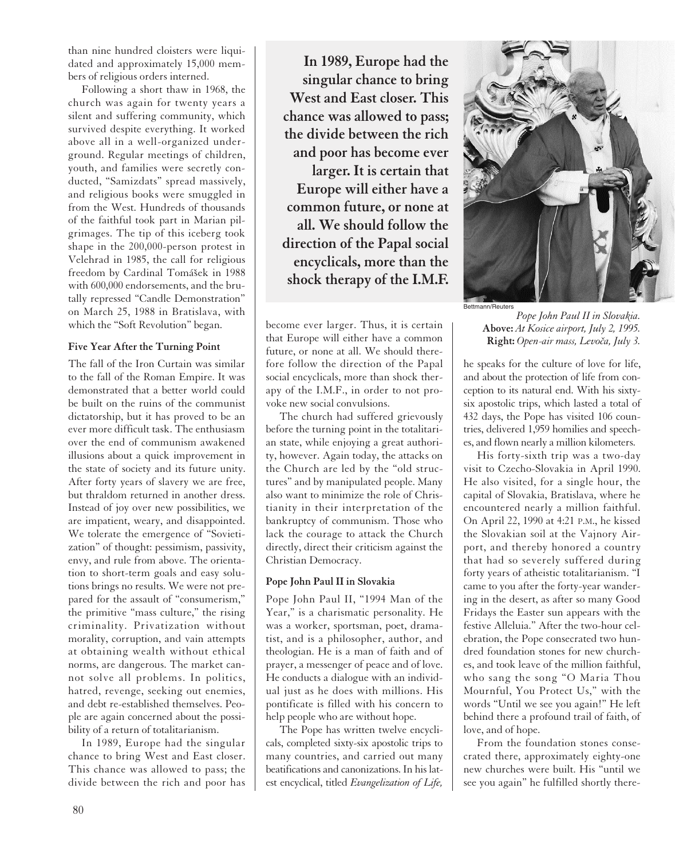than nine hundred cloisters were liquidated and approximately 15,000 members of religious orders interned.

Following a short thaw in 1968, the church was again for twenty years a silent and suffering community, which survived despite everything. It worked above all in a well-organized underground. Regular meetings of children, youth, and families were secretly conducted, "Samizdats" spread massively, and religious books were smuggled in from the West. Hundreds of thousands of the faithful took part in Marian pilgrimages. The tip of this iceberg took shape in the 200,000-person protest in Velehrad in 1985, the call for religious freedom by Cardinal Tomášek in 1988 with 600,000 endorsements, and the brutally repressed "Candle Demonstration" on March 25, 1988 in Bratislava, with which the "Soft Revolution" began.

#### **Five Year After the Turning Point**

The fall of the Iron Curtain was similar to the fall of the Roman Empire. It was demonstrated that a better world could be built on the ruins of the communist dictatorship, but it has proved to be an ever more difficult task. The enthusiasm over the end of communism awakened illusions about a quick improvement in the state of society and its future unity. After forty years of slavery we are free, but thraldom returned in another dress. Instead of joy over new possibilities, we are impatient, weary, and disappointed. We tolerate the emergence of "Sovietization" of thought: pessimism, passivity, envy, and rule from above. The orientation to short-term goals and easy solutions brings no results. We were not prepared for the assault of "consumerism," the primitive "mass culture," the rising criminality. Privatization without morality, corruption, and vain attempts at obtaining wealth without ethical norms, are dangerous. The market cannot solve all problems. In politics, hatred, revenge, seeking out enemies, and debt re-established themselves. People are again concerned about the possibility of a return of totalitarianism.

In 1989, Europe had the singular chance to bring West and East closer. This chance was allowed to pass; the divide between the rich and poor has

**In 1989, Europe had the singular chance to bring West and East closer. This chance was allowed to pass; the divide between the rich and poor has become ever larger. It is certain that Europe will either have a common future, or none at all. We should follow the direction of the Papal social encyclicals, more than the shock therapy of the I.M.F.**

become ever larger. Thus, it is certain that Europe will either have a common future, or none at all. We should therefore follow the direction of the Papal social encyclicals, more than shock therapy of the I.M.F., in order to not provoke new social convulsions.

The church had suffered grievously before the turning point in the totalitarian state, while enjoying a great authority, however. Again today, the attacks on the Church are led by the "old structures" and by manipulated people. Many also want to minimize the role of Christianity in their interpretation of the bankruptcy of communism. Those who lack the courage to attack the Church directly, direct their criticism against the Christian Democracy.

#### **Pope John Paul II in Slovakia**

Pope John Paul II, "1994 Man of the Year," is a charismatic personality. He was a worker, sportsman, poet, dramatist, and is a philosopher, author, and theologian. He is a man of faith and of prayer, a messenger of peace and of love. He conducts a dialogue with an individual just as he does with millions. His pontificate is filled with his concern to help people who are without hope.

The Pope has written twelve encyclicals, completed sixty-six apostolic trips to many countries, and carried out many beatifications and canonizations. In his latest encyclical, titled *Evangelization of Life,*



*Pope John Paul II in Slovakia.*  **Above:** *At Kosice airport, July 2, 1995.* Right: Open-air mass, Levoča, July 3.

he speaks for the culture of love for life, and about the protection of life from conception to its natural end. With his sixtysix apostolic trips, which lasted a total of 432 days, the Pope has visited 106 countries, delivered 1,959 homilies and speeches, and flown nearly a million kilometers.

His forty-sixth trip was a two-day visit to Czecho-Slovakia in April 1990. He also visited, for a single hour, the capital of Slovakia, Bratislava, where he encountered nearly a million faithful. On April 22, 1990 at 4:21 P.M., he kissed the Slovakian soil at the Vajnory Airport, and thereby honored a country that had so severely suffered during forty years of atheistic totalitarianism. "I came to you after the forty-year wandering in the desert, as after so many Good Fridays the Easter sun appears with the festive Alleluia." After the two-hour celebration, the Pope consecrated two hundred foundation stones for new churches, and took leave of the million faithful, who sang the song "O Maria Thou Mournful, You Protect Us," with the words "Until we see you again!" He left behind there a profound trail of faith, of love, and of hope.

From the foundation stones consecrated there, approximately eighty-one new churches were built. His "until we see you again" he fulfilled shortly there-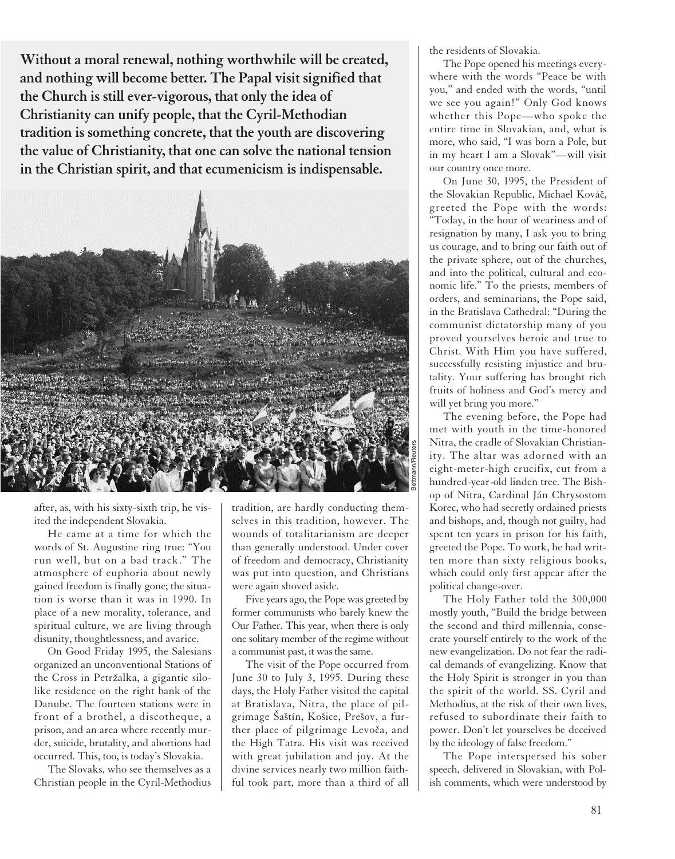**Without a moral renewal, nothing worthwhile will be created, and nothing will become better. The Papal visit signified that the Church is still ever-vigorous, that only the idea of Christianity can unify people, that the Cyril-Methodian tradition is something concrete, that the youth are discovering the value of Christianity, that one can solve the national tension in the Christian spirit, and that ecumenicism is indispensable.**



after, as, with his sixty-sixth trip, he visited the independent Slovakia.

He came at a time for which the words of St. Augustine ring true: "You run well, but on a bad track." The atmosphere of euphoria about newly gained freedom is finally gone; the situation is worse than it was in 1990. In place of a new morality, tolerance, and spiritual culture, we are living through disunity, thoughtlessness, and avarice.

On Good Friday 1995, the Salesians organized an unconventional Stations of the Cross in Petržalka, a gigantic silolike residence on the right bank of the Danube. The fourteen stations were in front of a brothel, a discotheque, a prison, and an area where recently murder, suicide, brutality, and abortions had occurred. This, too, is today's Slovakia.

The Slovaks, who see themselves as a Christian people in the Cyril-Methodius tradition, are hardly conducting themselves in this tradition, however. The wounds of totalitarianism are deeper than generally understood. Under cover of freedom and democracy, Christianity was put into question, and Christians were again shoved aside.

Five years ago, the Pope was greeted by former communists who barely knew the Our Father. This year, when there is only one solitary member of the regime without a communist past, it was the same.

The visit of the Pope occurred from June 30 to July 3, 1995. During these days, the Holy Father visited the capital at Bratislava, Nitra, the place of pilgrimage Šaštín, Košice, Prešov, a further place of pilgrimage Levoča, and the High Tatra. His visit was received with great jubilation and joy. At the divine services nearly two million faithful took part, more than a third of all the residents of Slovakia.

The Pope opened his meetings everywhere with the words "Peace be with you," and ended with the words, "until we see you again!" Only God knows whether this Pope—who spoke the entire time in Slovakian, and, what is more, who said, "I was born a Pole, but in my heart I am a Slovak"—will visit our country once more.

On June 30, 1995, the President of the Slovakian Republic, Michael Kováč, greeted the Pope with the words: "Today, in the hour of weariness and of resignation by many, I ask you to bring us courage, and to bring our faith out of the private sphere, out of the churches, and into the political, cultural and economic life." To the priests, members of orders, and seminarians, the Pope said, in the Bratislava Cathedral: "During the communist dictatorship many of you proved yourselves heroic and true to Christ. With Him you have suffered, successfully resisting injustice and brutality. Your suffering has brought rich fruits of holiness and God's mercy and will yet bring you more."

The evening before, the Pope had met with youth in the time-honored Nitra, the cradle of Slovakian Christianity. The altar was adorned with an eight-meter-high crucifix, cut from a hundred-year-old linden tree. The Bishop of Nitra, Cardinal Ján Chrysostom Korec, who had secretly ordained priests and bishops, and, though not guilty, had spent ten years in prison for his faith, greeted the Pope. To work, he had written more than sixty religious books, which could only first appear after the political change-over.

The Holy Father told the 300,000 mostly youth, "Build the bridge between the second and third millennia, consecrate yourself entirely to the work of the new evangelization. Do not fear the radical demands of evangelizing. Know that the Holy Spirit is stronger in you than the spirit of the world. SS. Cyril and Methodius, at the risk of their own lives, refused to subordinate their faith to power. Don't let yourselves be deceived by the ideology of false freedom."

The Pope interspersed his sober speech, delivered in Slovakian, with Polish comments, which were understood by